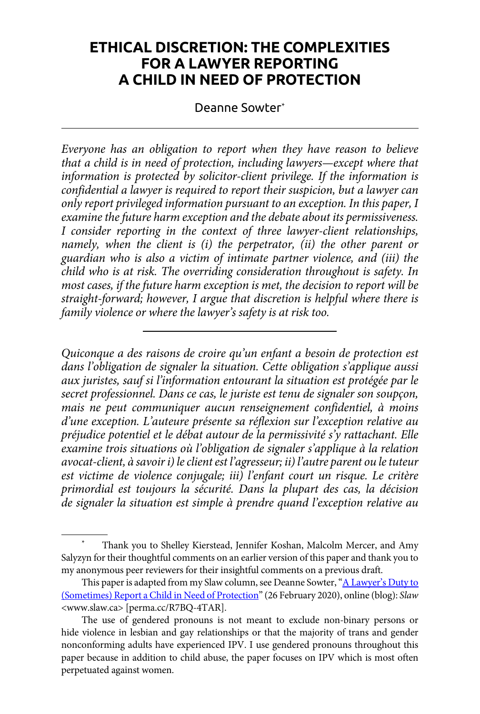# **ETHICAL DISCRETION: THE COMPLEXITIES FOR A LAWYER REPORTING A CHILD IN NEED OF PROTECTION**

Deanne Sowter\*

*Everyone has an obligation to report when they have reason to believe that a child is in need of protection, including lawyers—except where that*  information is protected by solicitor-client privilege. If the information is *confidential a lawyer is required to report their suspicion, but a lawyer can only report privileged information pursuant to an exception. In this paper, I examine the future harm exception and the debate about its permissiveness. I consider reporting in the context of three lawyer-client relationships, namely, when the client is (i) the perpetrator, (ii) the other parent or guardian who is also a victim of intimate partner violence, and (iii) the child who is at risk. The overriding consideration throughout is safety. In most cases, if the future harm exception is met, the decision to report will be straight-forward; however, I argue that discretion is helpful where there is family violence or where the lawyer's safety is at risk too.*

*Quiconque a des raisons de croire qu'un enfant a besoin de protection est dans l'obligation de signaler la situation. Cette obligation s'applique aussi aux juristes, sauf si l'information entourant la situation est protégée par le secret professionnel. Dans ce cas, le juriste est tenu de signaler son soupçon, mais ne peut communiquer aucun renseignement confidentiel, à moins d'une exception. L'auteure présente sa réflexion sur l'exception relative au préjudice potentiel et le débat autour de la permissivité s'y rattachant. Elle examine trois situations où l'obligation de signaler s'applique à la relation avocat-client, à savoir i) le client est l'agresseur; ii) l'autre parent ou le tuteur est victime de violence conjugale; iii) l'enfant court un risque. Le critère primordial est toujours la sécurité. Dans la plupart des cas, la décision de signaler la situation est simple à prendre quand l'exception relative au* 

Thank you to Shelley Kierstead, Jennifer Koshan, Malcolm Mercer, and Amy Salyzyn for their thoughtful comments on an earlier version of this paper and thank you to my anonymous peer reviewers for their insightful comments on a previous draft.

This paper is adapted from my Slaw column, see Deanne Sowter, ["A Lawyer's Duty to](https://perma.cc/R7BQ-4TAR) [\(Sometimes\) Report a Child in Need of Protection](https://perma.cc/R7BQ-4TAR)" (26 February 2020), online (blog): *Slaw* <www.slaw.ca> [perma.cc/R7BQ-4TAR].

The use of gendered pronouns is not meant to exclude non-binary persons or hide violence in lesbian and gay relationships or that the majority of trans and gender nonconforming adults have experienced IPV. I use gendered pronouns throughout this paper because in addition to child abuse, the paper focuses on IPV which is most often perpetuated against women.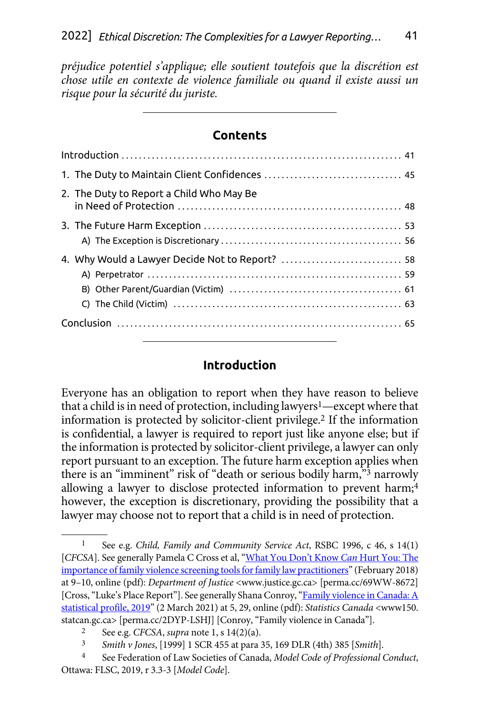*préjudice potentiel s'applique; elle soutient toutefois que la discrétion est chose utile en contexte de violence familiale ou quand il existe aussi un risque pour la sécurité du juriste.*

### **Contents**

| 2. The Duty to Report a Child Who May Be |  |
|------------------------------------------|--|
|                                          |  |
|                                          |  |
|                                          |  |

### **Introduction**

Everyone has an obligation to report when they have reason to believe that a child is in need of protection, including lawyers<sup>1</sup>—except where that information is protected by solicitor-client privilege.2 If the information is confidential, a lawyer is required to report just like anyone else; but if the information is protected by solicitor-client privilege, a lawyer can only report pursuant to an exception. The future harm exception applies when there is an "imminent" risk of "death or serious bodily harm,"3 narrowly allowing a lawyer to disclose protected information to prevent harm;<sup>4</sup> however, the exception is discretionary, providing the possibility that a lawyer may choose not to report that a child is in need of protection.

<sup>1</sup> See e.g. *Child, Family and Community Service Act*, RSBC 1996, c 46, s 14(1) [*CFCSA*]. See generally Pamela C Cross et al, ["What You Don't Know](https://perma.cc/69WW-8672) *Can* Hurt You: The [importance of family violence screening tools for family law practitioners](https://perma.cc/69WW-8672)" (February 2018) at 9–10, online (pdf): *Department of Justice* <www.justice.gc.ca> [perma.cc/69WW-8672] [Cross, "Luke's Place Report"]. See generally Shana Conroy, "Family violence in Canada: A [statistical profile, 2019"](https://perma.cc/2DYP-LSHJ) (2 March 2021) at 5, 29, online (pdf): *Statistics Canada* <www150. statcan.gc.ca> [perma.cc/2DYP-LSHJ] [Conroy, "Family violence in Canada"]. 2 See e.g. *CFCSA*, *supra* note 1, s 14(2)(a).

<sup>3</sup> *Smith v Jones*, [1999] 1 SCR 455 at para 35, 169 DLR (4th) 385 [*Smith*].

<sup>4</sup> See Federation of Law Societies of Canada, *Model Code of Professional Conduct*, Ottawa: FLSC, 2019, r 3.3-3 [*Model Code*].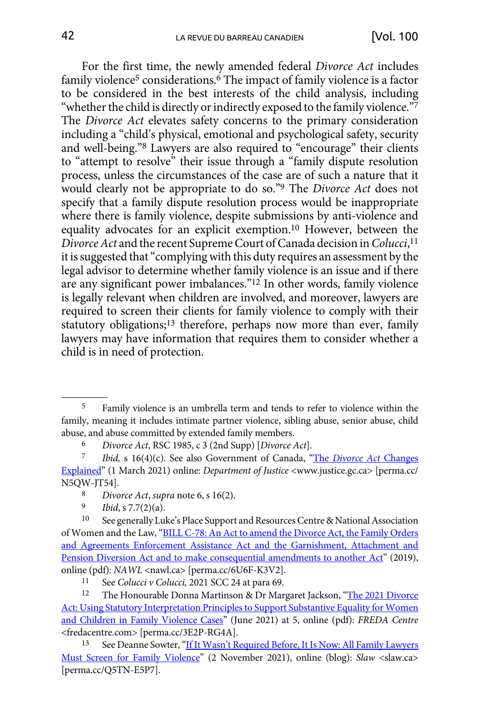For the first time, the newly amended federal *Divorce Act* includes family violence<sup>5</sup> considerations.<sup>6</sup> The impact of family violence is a factor to be considered in the best interests of the child analysis, including "whether the child is directly or indirectly exposed to the family violence."7 The *Divorce Act* elevates safety concerns to the primary consideration including a "child's physical, emotional and psychological safety, security and well-being."8 Lawyers are also required to "encourage" their clients to "attempt to resolve" their issue through a "family dispute resolution process, unless the circumstances of the case are of such a nature that it would clearly not be appropriate to do so."9 The *Divorce Act* does not specify that a family dispute resolution process would be inappropriate where there is family violence, despite submissions by anti-violence and equality advocates for an explicit exemption.10 However, between the *Divorce Act* and the recent Supreme Court of Canada decision in *Colucci*, 11 it is suggested that "complying with this duty requires an assessment by the legal advisor to determine whether family violence is an issue and if there are any significant power imbalances."12 In other words, family violence is legally relevant when children are involved, and moreover, lawyers are required to screen their clients for family violence to comply with their statutory obligations;13 therefore, perhaps now more than ever, family lawyers may have information that requires them to consider whether a child is in need of protection.

<sup>5</sup> Family violence is an umbrella term and tends to refer to violence within the family, meaning it includes intimate partner violence, sibling abuse, senior abuse, child abuse, and abuse committed by extended family members.

<sup>6</sup> *Divorce Act*, RSC 1985, c 3 (2nd Supp) [*Divorce Act*].

<sup>7</sup> *Ibid,* s 16(4)(c). See also Government of Canada, "The *[Divorce Act](https://perma.cc/N5QW-JT54)* Changes [Explained](https://perma.cc/N5QW-JT54)" (1 March 2021) online: *Department of Justice* <www.justice.gc.ca> [perma.cc/ N5QW-JT54]. 8 *Divorce Act*, *supra* note 6, s 16(2).

*Ibid*, s 7.7(2)(a).

<sup>10</sup> See generally Luke's Place Support and Resources Centre & National Association of Women and the Law, ["BILL C-78: An Act to amend the Divorce Act, the Family Orders](https://perma.cc/6U6F-K3V2) [and Agreements Enforcement Assistance Act and the Garnishment, Attachment and](https://perma.cc/6U6F-K3V2)  [Pension Diversion Act and to make consequential amendments to another Act"](https://perma.cc/6U6F-K3V2) (2019), online (pdf): *NAWL* <nawl.ca> [perma.cc/6U6F-K3V2].<br><sup>11</sup> See *Colucci v Colucci*, 2021 SCC 24 at para 69.<br><sup>12</sup> The Honourable Donna Martinson & Dr Marc

The Honourable Donna Martinson & Dr Margaret Jackson, ["The 2021 Divorce](https://perma.cc/3E2P-RG4A) [Act: Using Statutory Interpretation Principles to Support Substantive Equality for Women](https://perma.cc/3E2P-RG4A) [and Children in Family Violence Cases"](https://perma.cc/3E2P-RG4A) (June 2021) at 5, online (pdf): *FREDA Centre*  <fredacentre.com> [perma.cc/3E2P-RG4A]. 13 See Deanne Sowter, ["If It Wasn't Required Before, It Is Now: All Family Lawyers](https://perma.cc/Q5TN-E5P7)

[Must Screen for Family Violence](https://perma.cc/Q5TN-E5P7)" (2 November 2021), online (blog): *Slaw* <slaw.ca> [perma.cc/Q5TN-E5P7].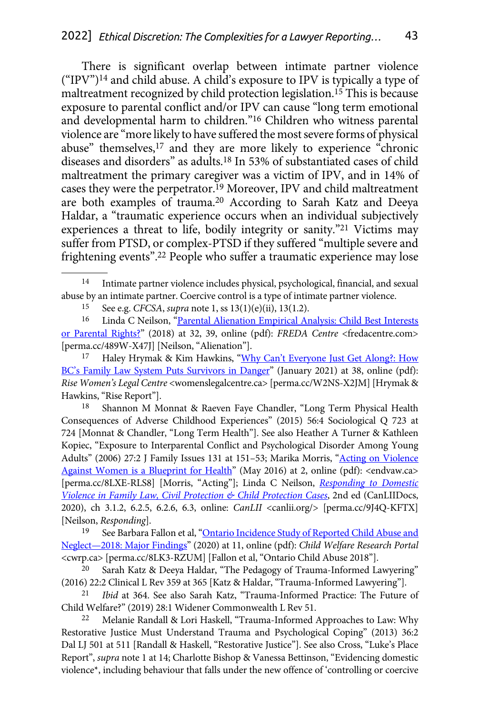There is significant overlap between intimate partner violence  $({\rm "IPV})^{14}$  and child abuse. A child's exposure to IPV is typically a type of maltreatment recognized by child protection legislation.15 This is because exposure to parental conflict and/or IPV can cause "long term emotional and developmental harm to children."16 Children who witness parental violence are "more likely to have suffered the most severe forms of physical abuse" themselves,17 and they are more likely to experience "chronic diseases and disorders" as adults.18 In 53% of substantiated cases of child maltreatment the primary caregiver was a victim of IPV, and in 14% of cases they were the perpetrator.<sup>19</sup> Moreover, IPV and child maltreatment are both examples of trauma.20 According to Sarah Katz and Deeya Haldar, a "traumatic experience occurs when an individual subjectively experiences a threat to life, bodily integrity or sanity."21 Victims may suffer from PTSD, or complex-PTSD if they suffered "multiple severe and frightening events".22 People who suffer a traumatic experience may lose

15 See e.g. *CFCSA*, *supra* note 1, ss 13(1)(e)(ii), 13(1.2).

18 Shannon M Monnat & Raeven Faye Chandler, "Long Term Physical Health Consequences of Adverse Childhood Experiences" (2015) 56:4 Sociological Q 723 at 724 [Monnat & Chandler, "Long Term Health"]. See also Heather A Turner & Kathleen Kopiec, "Exposure to Interparental Conflict and Psychological Disorder Among Young Adults" (2006) 27:2 J Family Issues 131 at 151–53; Marika Morris, ["Acting on Violence](https://perma.cc/8LXE-RLS8) [Against Women is a Blueprint for Health"](https://perma.cc/8LXE-RLS8) (May 2016) at 2, online (pdf): <endvaw.ca> [perma.cc/8LXE-RLS8] [Morris, "Acting"]; Linda C Neilson, *[Responding to Domestic](https://perma.cc/9J4Q-KFTX) [Violence in Family Law, Civil Protection & Child Protection Cases](https://perma.cc/9J4Q-KFTX)*, 2nd ed (CanLIIDocs, 2020), ch 3.1.2, 6.2.5, 6.2.6, 6.3, online: *CanLII* <canlii.org/> [perma.cc/9J4Q-KFTX] [Neilson, *Responding*].

<sup>19</sup> See Barbara Fallon et al, ["Ontario Incidence Study of Reported Child Abuse and](https://perma.cc/8LK3-RZUM) [Neglect—2018: Major Findings"](https://perma.cc/8LK3-RZUM) (2020) at 11, online (pdf): *Child Welfare Research Portal*  <cwrp.ca> [perma.cc/8LK3-RZUM] [Fallon et al, "Ontario Child Abuse 2018"].

Intimate partner violence includes physical, psychological, financial, and sexual abuse by an intimate partner. Coercive control is a type of intimate partner violence.

<sup>&</sup>lt;sup>16</sup> Linda C Neilson, "Parental Alienation Empirical Analysis: Child Best Interests [or Parental Rights?"](https://perma.cc/489W-X47J) (2018) at 32, 39, online (pdf): *FREDA Centre* <fredacentre.com> [perma.cc/489W-X47J] [Neilson, "Alienation"].

Haley Hrymak & Kim Hawkins, "Why Can't Everyone Just Get Along?: How [BC's Family Law System Puts Survivors in Danger"](https://perma.cc/W2NS-X2JM) (January 2021) at 38, online (pdf): *Rise Women's Legal Centre* <womenslegalcentre.ca> [perma.cc/W2NS-X2JM] [Hrymak & Hawkins, "Rise Report"].

Sarah Katz & Deeya Haldar, "The Pedagogy of Trauma-Informed Lawyering" (2016) 22:2 Clinical L Rev 359 at 365 [Katz & Haldar, "Trauma-Informed Lawyering"].

<sup>21</sup> *Ibid* at 364. See also Sarah Katz, "Trauma-Informed Practice: The Future of Child Welfare?" (2019) 28:1 Widener Commonwealth L Rev 51.

<sup>22</sup> Melanie Randall & Lori Haskell, "Trauma-Informed Approaches to Law: Why Restorative Justice Must Understand Trauma and Psychological Coping" (2013) 36:2 Dal LJ 501 at 511 [Randall & Haskell, "Restorative Justice"]. See also Cross, "Luke's Place Report", *supra* note 1 at 14; Charlotte Bishop & Vanessa Bettinson, "Evidencing domestic violence\*, including behaviour that falls under the new offence of 'controlling or coercive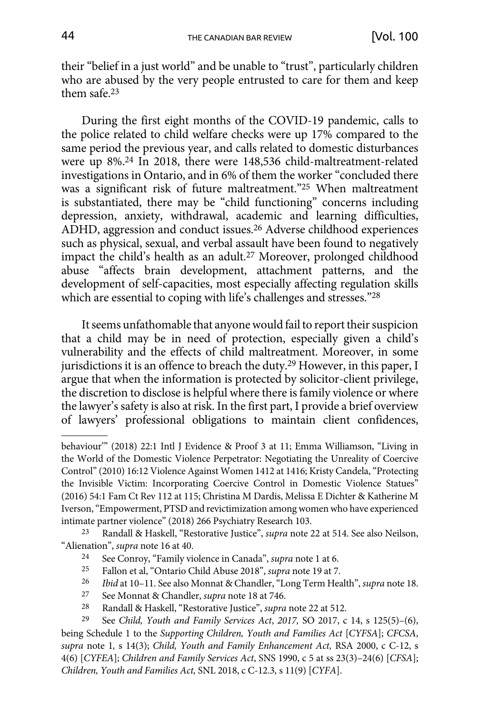their "belief in a just world" and be unable to "trust", particularly children who are abused by the very people entrusted to care for them and keep them safe.23

During the first eight months of the COVID-19 pandemic, calls to the police related to child welfare checks were up 17% compared to the same period the previous year, and calls related to domestic disturbances were up 8%.24 In 2018, there were 148,536 child-maltreatment-related investigations in Ontario, and in 6% of them the worker "concluded there was a significant risk of future maltreatment."25 When maltreatment is substantiated, there may be "child functioning" concerns including depression, anxiety, withdrawal, academic and learning difficulties, ADHD, aggression and conduct issues.26 Adverse childhood experiences such as physical, sexual, and verbal assault have been found to negatively impact the child's health as an adult.27 Moreover, prolonged childhood abuse "affects brain development, attachment patterns, and the development of self-capacities, most especially affecting regulation skills which are essential to coping with life's challenges and stresses."28

It seems unfathomable that anyone would fail to report their suspicion that a child may be in need of protection, especially given a child's vulnerability and the effects of child maltreatment. Moreover, in some jurisdictions it is an offence to breach the duty.29 However, in this paper, I argue that when the information is protected by solicitor-client privilege, the discretion to disclose is helpful where there is family violence or where the lawyer's safety is also at risk. In the first part, I provide a brief overview of lawyers' professional obligations to maintain client confidences,

23 Randall & Haskell, "Restorative Justice", *supra* note 22 at 514. See also Neilson, "Alienation", *supra* note 16 at 40.

- 24 See Conroy, "Family violence in Canada", *supra* note 1 at 6.
- 25 Fallon et al, "Ontario Child Abuse 2018", *supra* note 19 at 7.
- 26 *Ibid* at 10–11. See also Monnat & Chandler, "Long Term Health", *supra* note 18.
- 27 See Monnat & Chandler, *supra* note 18 at 746.
- 28 Randall & Haskell, "Restorative Justice", *supra* note 22 at 512.

behaviour'" (2018) 22:1 Intl J Evidence & Proof 3 at 11; Emma Williamson, "Living in the World of the Domestic Violence Perpetrator: Negotiating the Unreality of Coercive Control" (2010) 16:12 Violence Against Women 1412 at 1416; Kristy Candela, "Protecting the Invisible Victim: Incorporating Coercive Control in Domestic Violence Statues" (2016) 54:1 Fam Ct Rev 112 at 115; Christina M Dardis, Melissa E Dichter & Katherine M Iverson, "Empowerment, PTSD and revictimization among women who have experienced intimate partner violence" (2018) 266 Psychiatry Research 103.

<sup>29</sup> See *Child, Youth and Family Services Act*, *2017,* SO 2017, c 14, s 125(5)–(6), being Schedule 1 to the *Supporting Children, Youth and Families Act* [*CYFSA*]; *CFCSA*, *supra* note 1*,* s 14(3); *Child, Youth and Family Enhancement Act,* RSA 2000, c C-12, s 4(6) [*CYFEA*]; *Children and Family Services Act*, SNS 1990, c 5 at ss 23(3)–24(6) [*CFSA*]; *Children, Youth and Families Act,* SNL 2018, c C-12.3*,* s 11(9) [*CYFA*].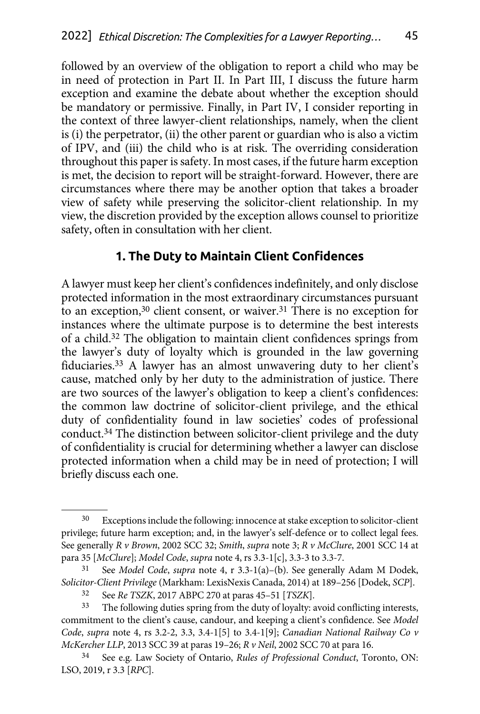<span id="page-5-0"></span>followed by an overview of the obligation to report a child who may be in need of protection in Part II. In Part III, I discuss the future harm exception and examine the debate about whether the exception should be mandatory or permissive. Finally, in Part IV, I consider reporting in the context of three lawyer-client relationships, namely, when the client is (i) the perpetrator, (ii) the other parent or guardian who is also a victim of IPV, and (iii) the child who is at risk. The overriding consideration throughout this paper is safety. In most cases, if the future harm exception is met, the decision to report will be straight-forward. However, there are circumstances where there may be another option that takes a broader view of safety while preserving the solicitor-client relationship. In my view, the discretion provided by the exception allows counsel to prioritize safety, often in consultation with her client.

#### **1. The Duty to Maintain Client Confidences**

A lawyer must keep her client's confidences indefinitely, and only disclose protected information in the most extraordinary circumstances pursuant to an exception,<sup>30</sup> client consent, or waiver.<sup>31</sup> There is no exception for instances where the ultimate purpose is to determine the best interests of a child.32 The obligation to maintain client confidences springs from the lawyer's duty of loyalty which is grounded in the law governing fiduciaries.33 A lawyer has an almost unwavering duty to her client's cause, matched only by her duty to the administration of justice. There are two sources of the lawyer's obligation to keep a client's confidences: the common law doctrine of solicitor-client privilege, and the ethical duty of confidentiality found in law societies' codes of professional conduct.34 The distinction between solicitor-client privilege and the duty of confidentiality is crucial for determining whether a lawyer can disclose protected information when a child may be in need of protection; I will briefly discuss each one.

<sup>30</sup> Exceptions include the following: innocence at stake exception to solicitor-client privilege; future harm exception; and, in the lawyer's self-defence or to collect legal fees. See generally *R v Brown*, 2002 SCC 32; *Smith*, *supra* note 3; *R v McClure*, 2001 SCC 14 at para 35 [*McClure*]; *Model Code*, *supra* note 4, rs 3.3-1[c], 3.3-3 to 3.3-7.

<sup>31</sup> See *Model Code*, *supra* note 4, r 3.3-1(a)–(b). See generally Adam M Dodek, *Solicitor-Client Privilege* (Markham: LexisNexis Canada, 2014) at 189–256 [Dodek, *SCP*].

<sup>32</sup> See *Re TSZK*, 2017 ABPC 270 at paras 45–51 [*TSZK*].

<sup>&</sup>lt;sup>33</sup> The following duties spring from the duty of loyalty: avoid conflicting interests, commitment to the client's cause, candour, and keeping a client's confidence. See *Model Code*, *supra* note 4, rs 3.2-2, 3.3, 3.4-1[5] to 3.4-1[9]; *Canadian National Railway Co v McKercher LLP*, 2013 SCC 39 at paras 19–26; *R v Neil*, 2002 SCC 70 at para 16.

<sup>34</sup> See e.g. Law Society of Ontario, *Rules of Professional Conduct*, Toronto, ON: LSO, 2019, r 3.3 [*RPC*].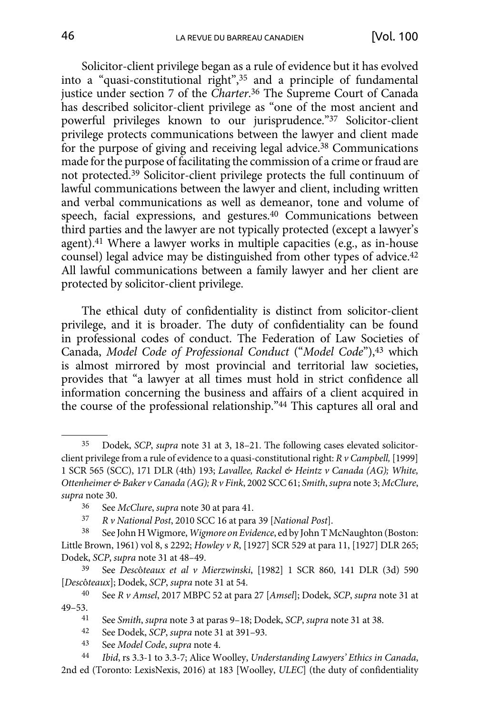Solicitor-client privilege began as a rule of evidence but it has evolved into a "quasi-constitutional right",35 and a principle of fundamental justice under section 7 of the *Charter*. 36 The Supreme Court of Canada has described solicitor-client privilege as "one of the most ancient and powerful privileges known to our jurisprudence."37 Solicitor-client privilege protects communications between the lawyer and client made for the purpose of giving and receiving legal advice.<sup>38</sup> Communications made for the purpose of facilitating the commission of a crime or fraud are not protected.39 Solicitor-client privilege protects the full continuum of lawful communications between the lawyer and client, including written and verbal communications as well as demeanor, tone and volume of speech, facial expressions, and gestures.40 Communications between third parties and the lawyer are not typically protected (except a lawyer's agent).41 Where a lawyer works in multiple capacities (e.g., as in-house counsel) legal advice may be distinguished from other types of advice.42 All lawful communications between a family lawyer and her client are protected by solicitor-client privilege.

The ethical duty of confidentiality is distinct from solicitor-client privilege, and it is broader. The duty of confidentiality can be found in professional codes of conduct. The Federation of Law Societies of Canada, *Model Code of Professional Conduct* ("*Model Code*"),43 which is almost mirrored by most provincial and territorial law societies, provides that "a lawyer at all times must hold in strict confidence all information concerning the business and affairs of a client acquired in the course of the professional relationship."44 This captures all oral and

37 *R v National Post*, 2010 SCC 16 at para 39 [*National Post*].

2nd ed (Toronto: LexisNexis, 2016) at 183 [Woolley, *ULEC*] (the duty of confidentiality

<sup>35</sup> Dodek, *SCP*, *supra* note 31 at 3, 18–21. The following cases elevated solicitorclient privilege from a rule of evidence to a quasi-constitutional right: *R v Campbell,* [1999] 1 SCR 565 (SCC), 171 DLR (4th) 193; *Lavallee, Rackel & Heintz v Canada (AG); White, Ottenheimer & Baker v Canada (AG); R v Fink*, 2002 SCC 61; *Smith*, *supra* note 3; *McClure*, *supra* note 30.

<sup>36</sup> See *McClure*, *supra* note 30 at para 41.

<sup>38</sup> See John H Wigmore, *Wigmore on Evidence*, ed by John T McNaughton (Boston: Little Brown, 1961) vol 8, s 2292; *Howley v R*, [1927] SCR 529 at para 11, [1927] DLR 265; Dodek, *SCP*, *supra* note 31 at 48–49.

<sup>39</sup> See *Desc*ô*teaux et al v Mierzwinski*, [1982] 1 SCR 860, 141 DLR (3d) 590 [*Desc*ô*teaux*]; Dodek, *SCP*, *supra* note 31 at 54.

<sup>40</sup> See *R v Amsel*, 2017 MBPC 52 at para 27 [*Amsel*]; Dodek, *SCP*, *supra* note 31 at 49–53.

<sup>41</sup> See *Smith*, *supra* note 3 at paras 9–18; Dodek, *SCP*, *supra* note 31 at 38.

<sup>42</sup> See Dodek, *SCP*, *supra* note 31 at 391–93.

<sup>43</sup> See *Model Code*, *supra* note 4.

<sup>44</sup> *Ibid*, rs 3.3-1 to 3.3-7; Alice Woolley, *Understanding Lawyers' Ethics in Canada*,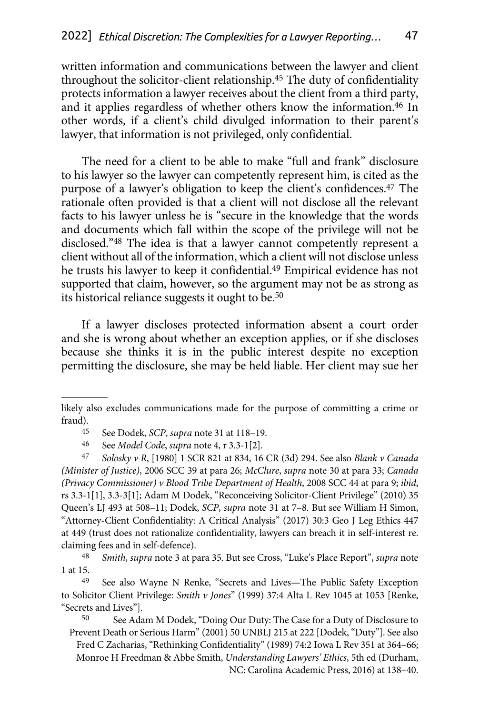written information and communications between the lawyer and client throughout the solicitor-client relationship.45 The duty of confidentiality protects information a lawyer receives about the client from a third party, and it applies regardless of whether others know the information.46 In other words, if a client's child divulged information to their parent's lawyer, that information is not privileged, only confidential.

The need for a client to be able to make "full and frank" disclosure to his lawyer so the lawyer can competently represent him, is cited as the purpose of a lawyer's obligation to keep the client's confidences.47 The rationale often provided is that a client will not disclose all the relevant facts to his lawyer unless he is "secure in the knowledge that the words and documents which fall within the scope of the privilege will not be disclosed."48 The idea is that a lawyer cannot competently represent a client without all of the information, which a client will not disclose unless he trusts his lawyer to keep it confidential.49 Empirical evidence has not supported that claim, however, so the argument may not be as strong as its historical reliance suggests it ought to be.50

If a lawyer discloses protected information absent a court order and she is wrong about whether an exception applies, or if she discloses because she thinks it is in the public interest despite no exception permitting the disclosure, she may be held liable. Her client may sue her

47 *Solosky v R*, [1980] 1 SCR 821 at 834, 16 CR (3d) 294. See also *Blank v Canada (Minister of Justice)*, 2006 SCC 39 at para 26; *McClure*, *supra* note 30 at para 33; *Canada (Privacy Commissioner) v Blood Tribe Department of Health*, 2008 SCC 44 at para 9; *ibid*, rs 3.3-1[1], 3.3-3[1]; Adam M Dodek, "Reconceiving Solicitor-Client Privilege" (2010) 35 Queen's LJ 493 at 508–11; Dodek, *SCP*, *supra* note 31 at 7–8. But see William H Simon, "Attorney-Client Confidentiality: A Critical Analysis" (2017) 30:3 Geo J Leg Ethics 447 at 449 (trust does not rationalize confidentiality, lawyers can breach it in self-interest re. claiming fees and in self-defence).

50 See Adam M Dodek, "Doing Our Duty: The Case for a Duty of Disclosure to Prevent Death or Serious Harm" (2001) 50 UNBLJ 215 at 222 [Dodek, "Duty"]. See also Fred C Zacharias, "Rethinking Confidentiality" (1989) 74:2 Iowa L Rev 351 at 364–66; Monroe H Freedman & Abbe Smith, *Understanding Lawyers' Ethics*, 5th ed (Durham, NC: Carolina Academic Press, 2016) at 138–40.

likely also excludes communications made for the purpose of committing a crime or fraud).

<sup>45</sup> See Dodek, *SCP*, *supra* note 31 at 118–19.

<sup>46</sup> See *Model Code*, *supra* note 4, r 3.3-1[2].

<sup>48</sup> *Smith*, *supra* note 3 at para 35. But see Cross, "Luke's Place Report", *supra* note 1 at 15.

See also Wayne N Renke, "Secrets and Lives—The Public Safety Exception to Solicitor Client Privilege: *Smith v Jones*" (1999) 37:4 Alta L Rev 1045 at 1053 [Renke, "Secrets and Lives"].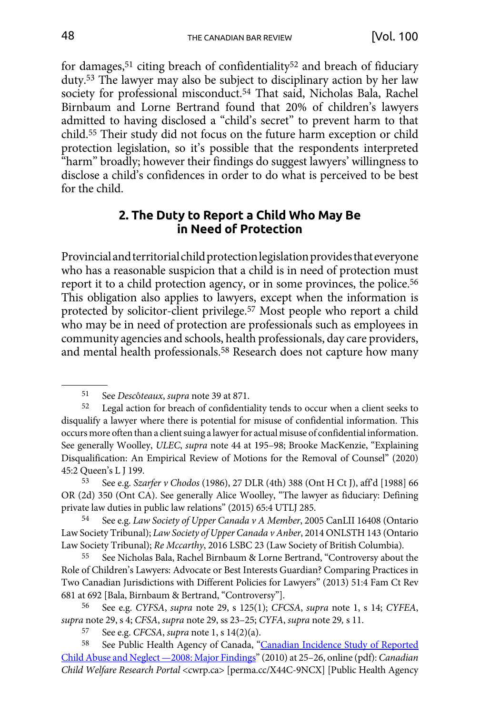<span id="page-8-0"></span>for damages,<sup>51</sup> citing breach of confidentiality<sup>52</sup> and breach of fiduciary duty.53 The lawyer may also be subject to disciplinary action by her law society for professional misconduct.<sup>54</sup> That said, Nicholas Bala, Rachel Birnbaum and Lorne Bertrand found that 20% of children's lawyers admitted to having disclosed a "child's secret" to prevent harm to that child.55 Their study did not focus on the future harm exception or child protection legislation, so it's possible that the respondents interpreted "harm" broadly; however their findings do suggest lawyers' willingness to disclose a child's confidences in order to do what is perceived to be best for the child.

#### **2. The Duty to Report a Child Who May Be in Need of Protection**

Provincial and territorial child protection legislation provides that everyone who has a reasonable suspicion that a child is in need of protection must report it to a child protection agency, or in some provinces, the police.<sup>56</sup> This obligation also applies to lawyers, except when the information is protected by solicitor-client privilege.57 Most people who report a child who may be in need of protection are professionals such as employees in community agencies and schools, health professionals, day care providers, and mental health professionals.58 Research does not capture how many

<sup>51</sup> See *Desc*ô*teaux*, *supra* note 39 at 871.

<sup>52</sup> Legal action for breach of confidentiality tends to occur when a client seeks to disqualify a lawyer where there is potential for misuse of confidential information. This occurs more often than a client suing a lawyer for actual misuse of confidential information. See generally Woolley, *ULEC*, *supra* note 44 at 195–98; Brooke MacKenzie, "Explaining Disqualification: An Empirical Review of Motions for the Removal of Counsel" (2020) 45:2 Queen's L J 199.

<sup>53</sup> See e.g. *Szarfer v Chodos* (1986), 27 DLR (4th) 388 (Ont H Ct J), aff'd [1988] 66 OR (2d) 350 (Ont CA). See generally Alice Woolley, "The lawyer as fiduciary: Defining private law duties in public law relations" (2015) 65:4 UTLJ 285.

<sup>54</sup> See e.g. *Law Society of Upper Canada v A Member*, 2005 CanLII 16408 (Ontario Law Society Tribunal); *Law Society of Upper Canada v Anber*, 2014 ONLSTH 143 (Ontario Law Society Tribunal); *Re Mccarthy*, 2016 LSBC 23 (Law Society of British Columbia).

<sup>55</sup> See Nicholas Bala, Rachel Birnbaum & Lorne Bertrand, "Controversy about the Role of Children's Lawyers: Advocate or Best Interests Guardian? Comparing Practices in Two Canadian Jurisdictions with Different Policies for Lawyers" (2013) 51:4 Fam Ct Rev 681 at 692 [Bala, Birnbaum & Bertrand, "Controversy"].

<sup>56</sup> See e.g. *CYFSA*, *supra* note 29, s 125(1); *CFCSA*, *supra* note 1, s 14; *CYFEA*, *supra* note 29, s 4; *CFSA*, *supra* note 29, ss 23–25; *CYFA*, *supra* note 29*,* s 11.

<sup>57</sup> See e.g. *CFCSA*, *supra* note 1, s 14(2)(a).

See Public Health Agency of Canada, "[Canadian Incidence Study of Reported](https://perma.cc/X44C-9NCX) [Child Abuse and Neglect —2008: Major Findings"](https://perma.cc/X44C-9NCX) (2010) at 25–26, online (pdf): *Canadian Child Welfare Research Portal* <cwrp.ca> [perma.cc/X44C-9NCX] [Public Health Agency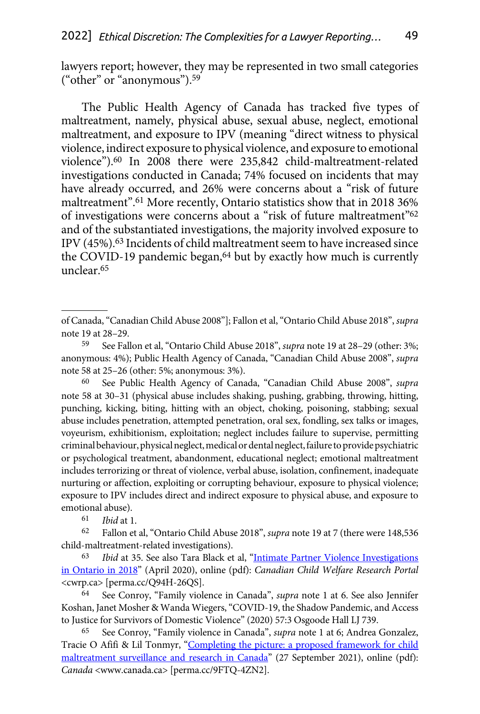lawyers report; however, they may be represented in two small categories ("other" or "anonymous").59

The Public Health Agency of Canada has tracked five types of maltreatment, namely, physical abuse, sexual abuse, neglect, emotional maltreatment, and exposure to IPV (meaning "direct witness to physical violence, indirect exposure to physical violence, and exposure to emotional violence").60 In 2008 there were 235,842 child-maltreatment-related investigations conducted in Canada; 74% focused on incidents that may have already occurred, and 26% were concerns about a "risk of future maltreatment".61 More recently, Ontario statistics show that in 2018 36% of investigations were concerns about a "risk of future maltreatment"62 and of the substantiated investigations, the majority involved exposure to IPV (45%).63 Incidents of child maltreatment seem to have increased since the COVID-19 pandemic began,<sup>64</sup> but by exactly how much is currently unclear.65

60 See Public Health Agency of Canada, "Canadian Child Abuse 2008", *supra*  note 58 at 30–31 (physical abuse includes shaking, pushing, grabbing, throwing, hitting, punching, kicking, biting, hitting with an object, choking, poisoning, stabbing; sexual abuse includes penetration, attempted penetration, oral sex, fondling, sex talks or images, voyeurism, exhibitionism, exploitation; neglect includes failure to supervise, permitting criminal behaviour, physical neglect, medical or dental neglect, failure to provide psychiatric or psychological treatment, abandonment, educational neglect; emotional maltreatment includes terrorizing or threat of violence, verbal abuse, isolation, confinement, inadequate nurturing or affection, exploiting or corrupting behaviour, exposure to physical violence; exposure to IPV includes direct and indirect exposure to physical abuse, and exposure to emotional abuse).

61 *Ibid* at 1.

62 Fallon et al, "Ontario Child Abuse 2018", *supra* note 19 at 7 (there were 148,536 child-maltreatment-related investigations).

63 *Ibid* at 35. See also Tara Black et al, "[Intimate Partner Violence Investigations](https://perma.cc/Q94H-26QS) [in Ontario in 2018](https://perma.cc/Q94H-26QS)" (April 2020), online (pdf): *Canadian Child Welfare Research Portal*  <cwrp.ca> [perma.cc/Q94H-26QS].

64 See Conroy, "Family violence in Canada", *supra* note 1 at 6. See also Jennifer Koshan, Janet Mosher & Wanda Wiegers, "COVID-19, the Shadow Pandemic, and Access to Justice for Survivors of Domestic Violence" (2020) 57:3 Osgoode Hall LJ 739.

65 See Conroy, "Family violence in Canada", *supra* note 1 at 6; Andrea Gonzalez, Tracie O Afifi & Lil Tonmyr, "Completing the picture: a proposed framework for child [maltreatment surveillance and research in Canada](https://perma.cc/9FTQ-4ZN2)" (27 September 2021), online (pdf): *Canada* <www.canada.ca> [perma.cc/9FTQ-4ZN2].

of Canada, "Canadian Child Abuse 2008"]; Fallon et al, "Ontario Child Abuse 2018", *supra*  note 19 at 28–29.

<sup>59</sup> See Fallon et al, "Ontario Child Abuse 2018", *supra* note 19 at 28–29 (other: 3%; anonymous: 4%); Public Health Agency of Canada, "Canadian Child Abuse 2008", *supra*  note 58 at 25–26 (other: 5%; anonymous: 3%).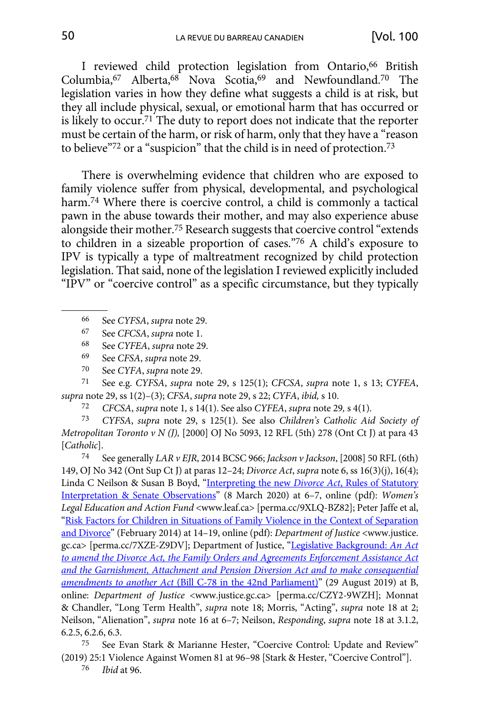I reviewed child protection legislation from Ontario,<sup>66</sup> British Columbia,67 Alberta,68 Nova Scotia,69 and Newfoundland.70 The legislation varies in how they define what suggests a child is at risk, but they all include physical, sexual, or emotional harm that has occurred or is likely to occur.<sup>71</sup> The duty to report does not indicate that the reporter must be certain of the harm, or risk of harm, only that they have a "reason to believe"72 or a "suspicion" that the child is in need of protection.73

There is overwhelming evidence that children who are exposed to family violence suffer from physical, developmental, and psychological harm.<sup>74</sup> Where there is coercive control, a child is commonly a tactical pawn in the abuse towards their mother, and may also experience abuse alongside their mother.75 Research suggests that coercive control "extends to children in a sizeable proportion of cases."76 A child's exposure to IPV is typically a type of maltreatment recognized by child protection legislation. That said, none of the legislation I reviewed explicitly included "IPV" or "coercive control" as a specific circumstance, but they typically

71 See e.g. *CYFSA*, *supra* note 29, s 125(1); *CFCSA*, *supra* note 1, s 13; *CYFEA*, *supra* note 29, ss 1(2)–(3); *CFSA*, *supra* note 29, s 22; *CYFA*, *ibid,* s 10.

72 *CFCSA*, *supra* note 1*,* s 14(1). See also *CYFEA*, *supra* note 29*,* s 4(1).

73 *CYFSA*, *supra* note 29, s 125(1). See also *Children's Catholic Aid Society of Metropolitan Toronto v N (J),* [2000] OJ No 5093, 12 RFL (5th) 278 (Ont Ct J) at para 43 [*Catholic*].

74 See generally *LAR v EJR*, 2014 BCSC 966; *Jackson v Jackson*, [2008] 50 RFL (6th) 149, OJ No 342 (Ont Sup Ct J) at paras 12–24; *Divorce Act*, *supra* note 6, ss 16(3)(j), 16(4); Linda C Neilson & Susan B Boyd, ["Interpreting the new](https://perma.cc/9XLQ-BZ82) *Divorce Act*, Rules of Statutory [Interpretation & Senate Observations](https://perma.cc/9XLQ-BZ82)" (8 March 2020) at 6–7, online (pdf): *Women's Legal Education and Action Fund* <www.leaf.ca> [perma.cc/9XLQ-BZ82]; Peter Jaffe et al, ["Risk Factors for Children in Situations of Family Violence in the Context of Separation](https://perma.cc/7XZE-Z9DV) [and Divorce](https://perma.cc/7XZE-Z9DV)" (February 2014) at 14–19, online (pdf): *Department of Justice* <www.justice. gc.ca> [perma.cc/7XZE-Z9DV]; Department of Justice, "[Legislative Background:](https://perma.cc/CZY2-9WZH) *An Act [to amend the Divorce Act, the Family Orders and Agreements Enforcement Assistance Act](https://perma.cc/CZY2-9WZH) [and the Garnishment, Attachment and Pension Diversion Act and to make consequential](https://perma.cc/CZY2-9WZH)  amendments to another Act* [\(Bill C-78 in the 42nd Parliament\)"](https://perma.cc/CZY2-9WZH) (29 August 2019) at B, online: *Department of Justice* <www.justice.gc.ca> [perma.cc/CZY2-9WZH]; Monnat & Chandler, "Long Term Health", *supra* note 18; Morris, "Acting", *supra* note 18 at 2; Neilson, "Alienation", *supra* note 16 at 6–7; Neilson, *Responding*, *supra* note 18 at 3.1.2, 6.2.5, 6.2.6, 6.3.

75 See Evan Stark & Marianne Hester, "Coercive Control: Update and Review" (2019) 25:1 Violence Against Women 81 at 96–98 [Stark & Hester, "Coercive Control"].

76 *Ibid* at 96.

<sup>66</sup> See *CYFSA*, *supra* note 29.

<sup>67</sup> See *CFCSA*, *supra* note 1.

<sup>68</sup> See *CYFEA*, *supra* note 29.

<sup>69</sup> See *CFSA*, *supra* note 29.

<sup>70</sup> See *CYFA*, *supra* note 29.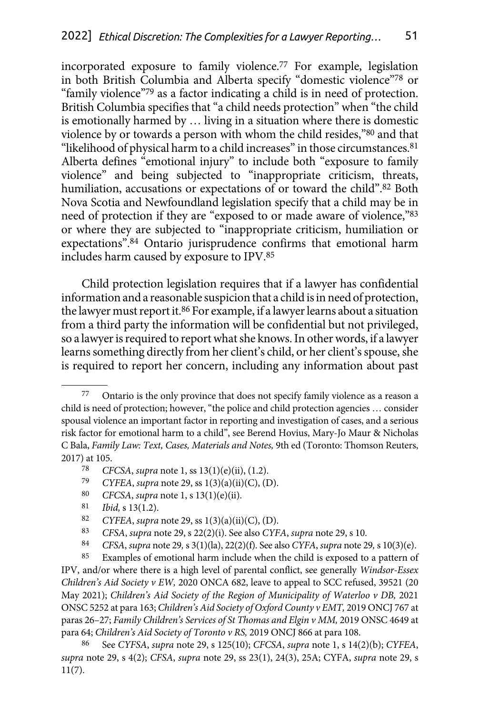incorporated exposure to family violence.77 For example, legislation in both British Columbia and Alberta specify "domestic violence"78 or "family violence"79 as a factor indicating a child is in need of protection. British Columbia specifies that "a child needs protection" when "the child is emotionally harmed by … living in a situation where there is domestic violence by or towards a person with whom the child resides,"80 and that "likelihood of physical harm to a child increases" in those circumstances.<sup>81</sup> Alberta defines "emotional injury" to include both "exposure to family violence" and being subjected to "inappropriate criticism, threats, humiliation, accusations or expectations of or toward the child".<sup>82</sup> Both Nova Scotia and Newfoundland legislation specify that a child may be in need of protection if they are "exposed to or made aware of violence,"83 or where they are subjected to "inappropriate criticism, humiliation or expectations".84 Ontario jurisprudence confirms that emotional harm includes harm caused by exposure to IPV.85

Child protection legislation requires that if a lawyer has confidential information and a reasonable suspicion that a child is in need of protection, the lawyer must report it.<sup>86</sup> For example, if a lawyer learns about a situation from a third party the information will be confidential but not privileged, so a lawyer is required to report what she knows. In other words, if a lawyer learns something directly from her client's child, or her client's spouse, she is required to report her concern, including any information about past

- 78 *CFCSA*, *supra* note 1, ss 13(1)(e)(ii), (1.2).
- 79 *CYFEA*, *supra* note 29, ss 1(3)(a)(ii)(C), (D).
- 80 *CFCSA*, *supra* note 1, s 13(1)(e)(ii).
- 81 *Ibid,* s 13(1.2).
- 82 *CYFEA*, *supra* note 29, ss 1(3)(a)(ii)(C), (D).
- 83 *CFSA*, *supra* note 29, s 22(2)(i). See also *CYFA*, *supra* note 29, s 10.
- 84 *CFSA*, *supra* note 29*,* s 3(1)(la), 22(2)(f). See also *CYFA*, *supra* note 29*,* s 10(3)(e).

85 Examples of emotional harm include when the child is exposed to a pattern of IPV, and/or where there is a high level of parental conflict, see generally *Windsor-Essex Children's Aid Society v EW,* 2020 ONCA 682, leave to appeal to SCC refused, 39521 (20 May 2021); *Children's Aid Society of the Region of Municipality of Waterloo v DB*, 2021 ONSC 5252 at para 163; *Children's Aid Society of Oxford County v EMT,* 2019 ONCJ 767 at paras 26-27; *Family Children's Services of St Thomas and Elgin v MM*, 2019 ONSC 4649 at para 64; *Children's Aid Society of Toronto v RS,* 2019 ONCJ 866 at para 108.

86 See *CYFSA*, *supra* note 29, s 125(10); *CFCSA*, *supra* note 1, s 14(2)(b); *CYFEA*, *supra* note 29, s 4(2); *CFSA*, *supra* note 29, ss 23(1), 24(3), 25A; CYFA, *supra* note 29, s 11(7).

<sup>77</sup> Ontario is the only province that does not specify family violence as a reason a child is need of protection; however, "the police and child protection agencies … consider spousal violence an important factor in reporting and investigation of cases, and a serious risk factor for emotional harm to a child", see Berend Hovius, Mary-Jo Maur & Nicholas C Bala, *Family Law: Text, Cases, Materials and Notes,* 9th ed (Toronto: Thomson Reuters, 2017) at 105.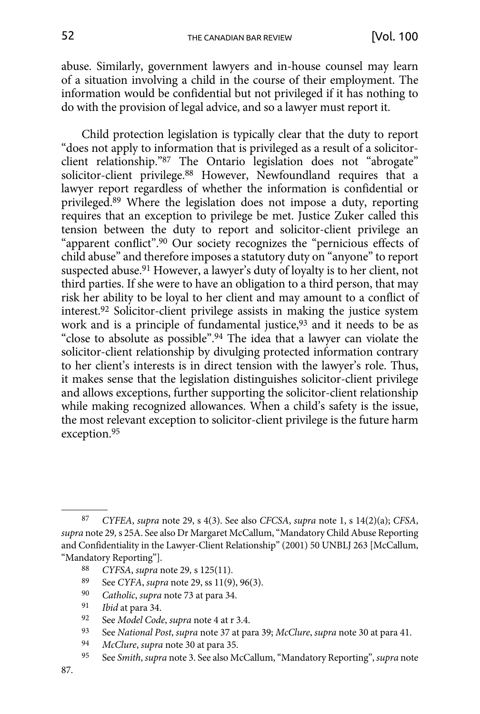abuse. Similarly, government lawyers and in-house counsel may learn of a situation involving a child in the course of their employment. The information would be confidential but not privileged if it has nothing to do with the provision of legal advice, and so a lawyer must report it.

Child protection legislation is typically clear that the duty to report "does not apply to information that is privileged as a result of a solicitorclient relationship."87 The Ontario legislation does not "abrogate" solicitor-client privilege.88 However, Newfoundland requires that a lawyer report regardless of whether the information is confidential or privileged.89 Where the legislation does not impose a duty, reporting requires that an exception to privilege be met. Justice Zuker called this tension between the duty to report and solicitor-client privilege an "apparent conflict".90 Our society recognizes the "pernicious effects of child abuse" and therefore imposes a statutory duty on "anyone" to report suspected abuse.91 However, a lawyer's duty of loyalty is to her client, not third parties. If she were to have an obligation to a third person, that may risk her ability to be loyal to her client and may amount to a conflict of interest.92 Solicitor-client privilege assists in making the justice system work and is a principle of fundamental justice,<sup>93</sup> and it needs to be as "close to absolute as possible".94 The idea that a lawyer can violate the solicitor-client relationship by divulging protected information contrary to her client's interests is in direct tension with the lawyer's role. Thus, it makes sense that the legislation distinguishes solicitor-client privilege and allows exceptions, further supporting the solicitor-client relationship while making recognized allowances. When a child's safety is the issue, the most relevant exception to solicitor-client privilege is the future harm exception.95

95 See *Smith*, *supra* note 3. See also McCallum, "Mandatory Reporting", *supra* note

<sup>87</sup> *CYFEA*, *supra* note 29, s 4(3). See also *CFCSA*, *supra* note 1, s 14(2)(a); *CFSA*, *supra* note 29*,* s 25A. See also Dr Margaret McCallum, "Mandatory Child Abuse Reporting and Confidentiality in the Lawyer-Client Relationship" (2001) 50 UNBLJ 263 [McCallum, "Mandatory Reporting"].

<sup>88</sup> *CYFSA*, *supra* note 29*,* s 125(11).

<sup>89</sup> See *CYFA*, *supra* note 29, ss 11(9), 96(3).

<sup>90</sup> *Catholic*, *supra* note 73 at para 34.

<sup>91</sup> *Ibid* at para 34.

<sup>92</sup> See *Model Code*, *supra* note 4 at r 3.4.

<sup>93</sup> See *National Post*, *supra* note 37 at para 39; *McClure*, *supra* note 30 at para 41.

<sup>94</sup> *McClure*, *supra* note 30 at para 35.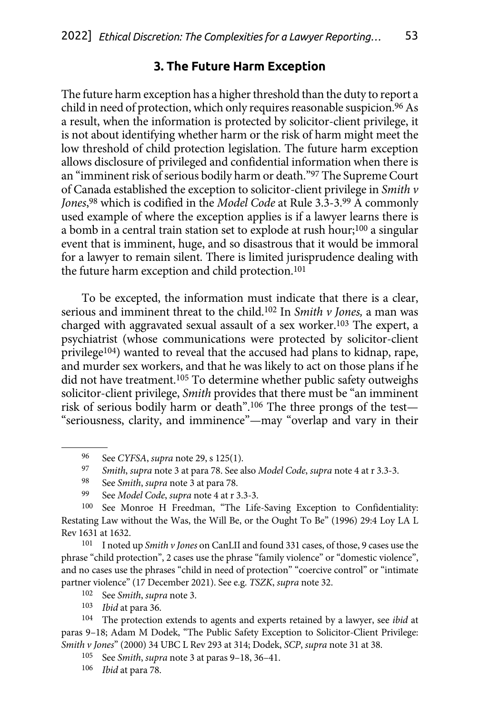### **3. The Future Harm Exception**

<span id="page-13-0"></span>The future harm exception has a higher threshold than the duty to report a child in need of protection, which only requires reasonable suspicion.<sup>96</sup> As a result, when the information is protected by solicitor-client privilege, it is not about identifying whether harm or the risk of harm might meet the low threshold of child protection legislation. The future harm exception allows disclosure of privileged and confidential information when there is an "imminent risk of serious bodily harm or death."97 The Supreme Court of Canada established the exception to solicitor-client privilege in *Smith v Jones*, 98 which is codified in the *Model Code* at Rule 3.3-3.99 A commonly used example of where the exception applies is if a lawyer learns there is a bomb in a central train station set to explode at rush hour;100 a singular event that is imminent, huge, and so disastrous that it would be immoral for a lawyer to remain silent. There is limited jurisprudence dealing with the future harm exception and child protection.<sup>101</sup>

To be excepted, the information must indicate that there is a clear, serious and imminent threat to the child.102 In *Smith v Jones,* a man was charged with aggravated sexual assault of a sex worker.103 The expert, a psychiatrist (whose communications were protected by solicitor-client privilege104) wanted to reveal that the accused had plans to kidnap, rape, and murder sex workers, and that he was likely to act on those plans if he did not have treatment.105 To determine whether public safety outweighs solicitor-client privilege, *Smith* provides that there must be "an imminent risk of serious bodily harm or death".106 The three prongs of the test— "seriousness, clarity, and imminence"—may "overlap and vary in their

101 I noted up *Smith v Jones* on CanLII and found 331 cases, of those, 9 cases use the phrase "child protection", 2 cases use the phrase "family violence" or "domestic violence", and no cases use the phrases "child in need of protection" "coercive control" or "intimate partner violence" (17 December 2021). See e.g. *TSZK*, *supra* note 32.

103 *Ibid* at para 36.

104 The protection extends to agents and experts retained by a lawyer, see *ibid* at paras 9–18; Adam M Dodek, "The Public Safety Exception to Solicitor-Client Privilege: *Smith v Jones*" (2000) 34 UBC L Rev 293 at 314; Dodek, *SCP*, *supra* note 31 at 38.

105 See *Smith*, *supra* note 3 at paras 9–18, 36–41.

<sup>96</sup> See *CYFSA*, *supra* note 29, s 125(1).

<sup>97</sup> *Smith*, *supra* note 3 at para 78. See also *Model Code*, *supra* note 4 at r 3.3-3.

<sup>98</sup> See *Smith*, *supra* note 3 at para 78.

<sup>99</sup> See *Model Code*, *supra* note 4 at r 3.3-3.

<sup>100</sup> See Monroe H Freedman, "The Life-Saving Exception to Confidentiality: Restating Law without the Was, the Will Be, or the Ought To Be" (1996) 29:4 Loy LA L Rev 1631 at 1632.

<sup>102</sup> See *Smith*, *supra* note 3.

<sup>106</sup> *Ibid* at para 78.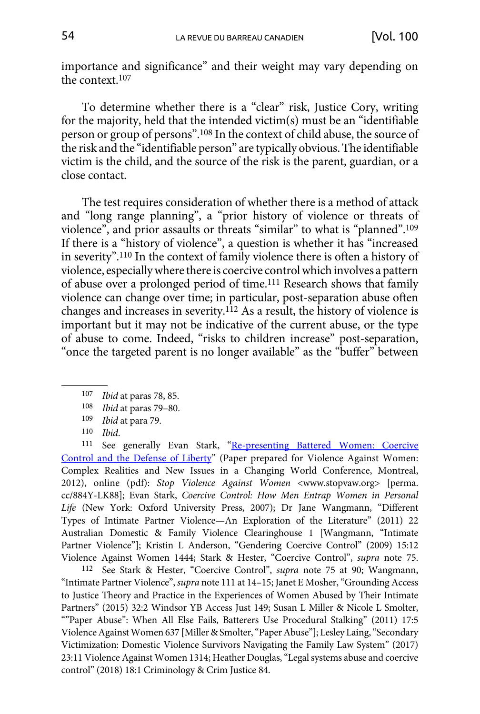importance and significance" and their weight may vary depending on the context.107

To determine whether there is a "clear" risk, Justice Cory, writing for the majority, held that the intended victim(s) must be an "identifiable person or group of persons".108 In the context of child abuse, the source of the risk and the "identifiable person" are typically obvious. The identifiable victim is the child, and the source of the risk is the parent, guardian, or a close contact.

The test requires consideration of whether there is a method of attack and "long range planning", a "prior history of violence or threats of violence", and prior assaults or threats "similar" to what is "planned".109 If there is a "history of violence", a question is whether it has "increased in severity".110 In the context of family violence there is often a history of violence, especially where there is coercive control which involves a pattern of abuse over a prolonged period of time.111 Research shows that family violence can change over time; in particular, post-separation abuse often changes and increases in severity.112 As a result, the history of violence is important but it may not be indicative of the current abuse, or the type of abuse to come. Indeed, "risks to children increase" post-separation, "once the targeted parent is no longer available" as the "buffer" between

111 See generally Evan Stark, "Re-presenting Battered Women: Coercive [Control and the Defense of Liberty"](https://perma.cc/884Y-LK88) (Paper prepared for Violence Against Women: Complex Realities and New Issues in a Changing World Conference, Montreal, 2012), online (pdf): *Stop Violence Against Women* <www.stopvaw.org> [perma. cc/884Y-LK88]; Evan Stark, *Coercive Control: How Men Entrap Women in Personal Life* (New York: Oxford University Press, 2007); Dr Jane Wangmann, "Different Types of Intimate Partner Violence—An Exploration of the Literature" (2011) 22 Australian Domestic & Family Violence Clearinghouse 1 [Wangmann, "Intimate Partner Violence"]; Kristin L Anderson, "Gendering Coercive Control" (2009) 15:12 Violence Against Women 1444; Stark & Hester, "Coercive Control", *supra* note 75.

112 See Stark & Hester, "Coercive Control", *supra* note 75 at 90; Wangmann, "Intimate Partner Violence", *supra* note 111 at 14–15; Janet E Mosher, "Grounding Access to Justice Theory and Practice in the Experiences of Women Abused by Their Intimate Partners" (2015) 32:2 Windsor YB Access Just 149; Susan L Miller & Nicole L Smolter, ""Paper Abuse": When All Else Fails, Batterers Use Procedural Stalking" (2011) 17:5 Violence Against Women 637 [Miller & Smolter, "Paper Abuse"]; Lesley Laing, "Secondary Victimization: Domestic Violence Survivors Navigating the Family Law System" (2017) 23:11 Violence Against Women 1314; Heather Douglas, "Legal systems abuse and coercive control" (2018) 18:1 Criminology & Crim Justice 84.

<sup>107</sup> *Ibid* at paras 78, 85.

<sup>108</sup> *Ibid* at paras 79–80.

<sup>109</sup> *Ibid* at para 79.

<sup>110</sup> *Ibid*.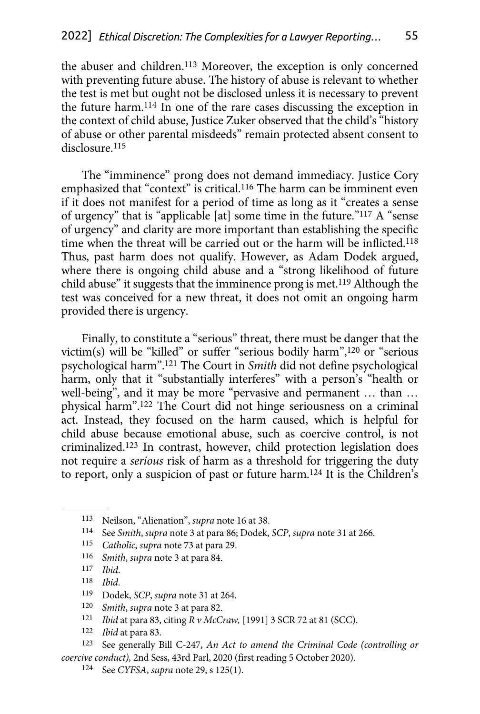the abuser and children.<sup>113</sup> Moreover, the exception is only concerned with preventing future abuse. The history of abuse is relevant to whether the test is met but ought not be disclosed unless it is necessary to prevent the future harm.114 In one of the rare cases discussing the exception in the context of child abuse, Justice Zuker observed that the child's "history of abuse or other parental misdeeds" remain protected absent consent to disclosure.<sup>115</sup>

The "imminence" prong does not demand immediacy. Justice Cory emphasized that "context" is critical.<sup>116</sup> The harm can be imminent even if it does not manifest for a period of time as long as it "creates a sense of urgency" that is "applicable [at] some time in the future."117 A "sense of urgency" and clarity are more important than establishing the specific time when the threat will be carried out or the harm will be inflicted.118 Thus, past harm does not qualify. However, as Adam Dodek argued, where there is ongoing child abuse and a "strong likelihood of future child abuse" it suggests that the imminence prong is met.119 Although the test was conceived for a new threat, it does not omit an ongoing harm provided there is urgency.

Finally, to constitute a "serious" threat, there must be danger that the victim(s) will be "killed" or suffer "serious bodily harm",120 or "serious psychological harm".121 The Court in *Smith* did not define psychological harm, only that it "substantially interferes" with a person's "health or well-being", and it may be more "pervasive and permanent … than … physical harm".122 The Court did not hinge seriousness on a criminal act. Instead, they focused on the harm caused, which is helpful for child abuse because emotional abuse, such as coercive control, is not criminalized.123 In contrast, however, child protection legislation does not require a *serious* risk of harm as a threshold for triggering the duty to report, only a suspicion of past or future harm.124 It is the Children's

- 115 *Catholic*, *supra* note 73 at para 29.
- 116 *Smith*, *supra* note 3 at para 84.
- 117 *Ibid*.
- 118 *Ibid*.
- 119 Dodek, *SCP*, *supra* note 31 at 264.
- 120 *Smith*, *supra* note 3 at para 82.
- <sup>121</sup> *Ibid* at para 83, citing *R v McCraw,* [1991] 3 SCR 72 at 81 (SCC). 122 *Ibid* at para 83.
- 

123 See generally Bill C-247, *An Act to amend the Criminal Code (controlling or coercive conduct),* 2nd Sess, 43rd Parl, 2020 (first reading 5 October 2020).

<sup>113</sup> Neilson, "Alienation", *supra* note 16 at 38.

<sup>114</sup> See *Smith*, *supra* note 3 at para 86; Dodek, *SCP*, *supra* note 31 at 266.

<sup>124</sup> See *CYFSA*, *supra* note 29, s 125(1).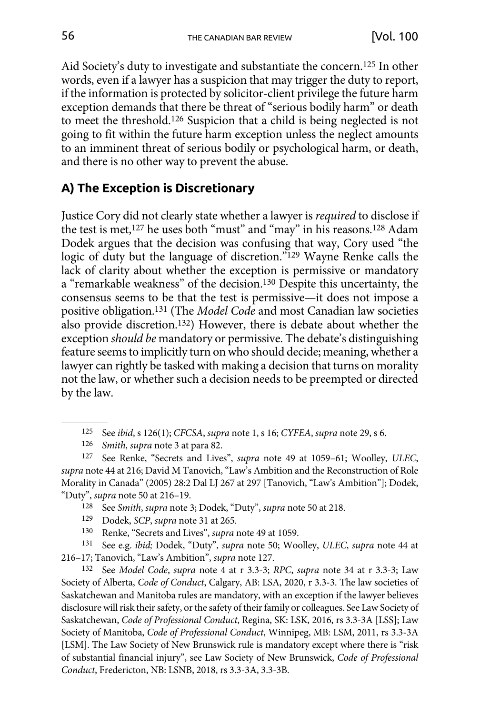<span id="page-16-0"></span>Aid Society's duty to investigate and substantiate the concern.125 In other words, even if a lawyer has a suspicion that may trigger the duty to report, if the information is protected by solicitor-client privilege the future harm exception demands that there be threat of "serious bodily harm" or death to meet the threshold.126 Suspicion that a child is being neglected is not going to fit within the future harm exception unless the neglect amounts to an imminent threat of serious bodily or psychological harm, or death, and there is no other way to prevent the abuse.

### **A) The Exception is Discretionary**

Justice Cory did not clearly state whether a lawyer is *required* to disclose if the test is met,127 he uses both "must" and "may" in his reasons.128 Adam Dodek argues that the decision was confusing that way, Cory used "the logic of duty but the language of discretion."129 Wayne Renke calls the lack of clarity about whether the exception is permissive or mandatory a "remarkable weakness" of the decision.130 Despite this uncertainty, the consensus seems to be that the test is permissive—it does not impose a positive obligation.131 (The *Model Code* and most Canadian law societies also provide discretion.132) However, there is debate about whether the exception *should be* mandatory or permissive. The debate's distinguishing feature seems to implicitly turn on who should decide; meaning, whether a lawyer can rightly be tasked with making a decision that turns on morality not the law, or whether such a decision needs to be preempted or directed by the law.

127 See Renke, "Secrets and Lives", *supra* note 49 at 1059–61; Woolley, *ULEC*, *supra* note 44 at 216; David M Tanovich, "Law's Ambition and the Reconstruction of Role Morality in Canada" (2005) 28:2 Dal LJ 267 at 297 [Tanovich, "Law's Ambition"]; Dodek, "Duty", *supra* note 50 at 216–19.

128 See *Smith*, *supra* note 3; Dodek, "Duty", *supra* note 50 at 218.

130 Renke, "Secrets and Lives", *supra* note 49 at 1059.

131 See e.g. *ibid;* Dodek, "Duty", *supra* note 50; Woolley, *ULEC*, *supra* note 44 at 216–17; Tanovich, "Law's Ambition", *supra* note 127.

132 See *Model Code*, *supra* note 4 at r 3.3-3; *RPC*, *supra* note 34 at r 3.3-3; Law Society of Alberta, *Code of Conduct*, Calgary, AB: LSA, 2020, r 3.3-3. The law societies of Saskatchewan and Manitoba rules are mandatory, with an exception if the lawyer believes disclosure will risk their safety, or the safety of their family or colleagues. See Law Society of Saskatchewan, *Code of Professional Conduct*, Regina, SK: LSK, 2016, rs 3.3-3A [LSS]; Law Society of Manitoba, *Code of Professional Conduct*, Winnipeg, MB: LSM, 2011, rs 3.3-3A [LSM]. The Law Society of New Brunswick rule is mandatory except where there is "risk of substantial financial injury", see Law Society of New Brunswick, *Code of Professional Conduct*, Fredericton, NB: LSNB, 2018, rs 3.3-3A, 3.3-3B.

<sup>125</sup> See *ibid*, s 126(1); *CFCSA*, *supra* note 1, s 16; *CYFEA*, *supra* note 29, s 6.

<sup>126</sup> *Smith*, *supra* note 3 at para 82.

<sup>129</sup> Dodek, *SCP*, *supra* note 31 at 265.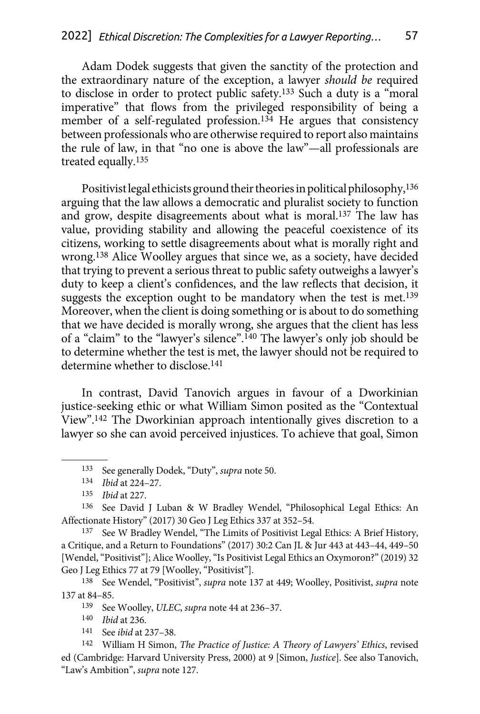Adam Dodek suggests that given the sanctity of the protection and the extraordinary nature of the exception, a lawyer *should be* required to disclose in order to protect public safety.133 Such a duty is a "moral imperative" that flows from the privileged responsibility of being a member of a self-regulated profession.<sup>134</sup> He argues that consistency between professionals who are otherwise required to report also maintains the rule of law, in that "no one is above the law"—all professionals are treated equally.135

Positivist legal ethicists ground their theories in political philosophy,136 arguing that the law allows a democratic and pluralist society to function and grow, despite disagreements about what is moral.137 The law has value, providing stability and allowing the peaceful coexistence of its citizens, working to settle disagreements about what is morally right and wrong.138 Alice Woolley argues that since we, as a society, have decided that trying to prevent a serious threat to public safety outweighs a lawyer's duty to keep a client's confidences, and the law reflects that decision, it suggests the exception ought to be mandatory when the test is met.<sup>139</sup> Moreover, when the client is doing something or is about to do something that we have decided is morally wrong, she argues that the client has less of a "claim" to the "lawyer's silence".140 The lawyer's only job should be to determine whether the test is met, the lawyer should not be required to determine whether to disclose.141

In contrast, David Tanovich argues in favour of a Dworkinian justice-seeking ethic or what William Simon posited as the "Contextual View".142 The Dworkinian approach intentionally gives discretion to a lawyer so she can avoid perceived injustices. To achieve that goal, Simon

136 See David J Luban & W Bradley Wendel, "Philosophical Legal Ethics: An Affectionate History" (2017) 30 Geo J Leg Ethics 337 at 352–54.

137 See W Bradley Wendel, "The Limits of Positivist Legal Ethics: A Brief History, a Critique, and a Return to Foundations" (2017) 30:2 Can JL & Jur 443 at 443–44, 449–50 [Wendel, "Positivist"]; Alice Woolley, "Is Positivist Legal Ethics an Oxymoron?" (2019) 32 Geo J Leg Ethics 77 at 79 [Woolley, "Positivist"].

138 See Wendel, "Positivist", *supra* note 137 at 449; Woolley, Positivist, *supra* note 137 at 84–85.

139 See Woolley, *ULEC*, *supra* note 44 at 236–37.

140 *Ibid* at 236.

141 See *ibid* at 237–38.

142 William H Simon, *The Practice of Justice: A Theory of Lawyers' Ethics*, revised ed (Cambridge: Harvard University Press, 2000) at 9 [Simon, *Justice*]. See also Tanovich, "Law's Ambition", *supra* note 127.

<sup>133</sup> See generally Dodek, "Duty", *supra* note 50.

<sup>134</sup> *Ibid* at 224–27.

<sup>135</sup> *Ibid* at 227.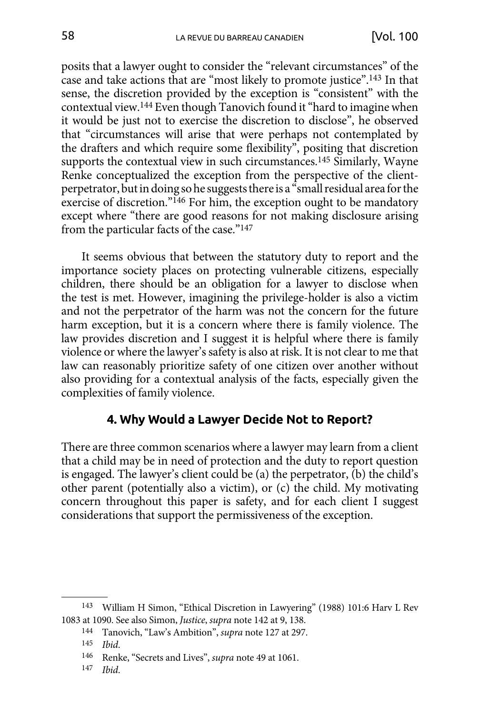<span id="page-18-0"></span>posits that a lawyer ought to consider the "relevant circumstances" of the case and take actions that are "most likely to promote justice".143 In that sense, the discretion provided by the exception is "consistent" with the contextual view.144 Even though Tanovich found it "hard to imagine when it would be just not to exercise the discretion to disclose", he observed that "circumstances will arise that were perhaps not contemplated by the drafters and which require some flexibility", positing that discretion supports the contextual view in such circumstances.<sup>145</sup> Similarly, Wayne Renke conceptualized the exception from the perspective of the clientperpetrator, but in doing so he suggests there is a "small residual area for the exercise of discretion."146 For him, the exception ought to be mandatory except where "there are good reasons for not making disclosure arising from the particular facts of the case."147

It seems obvious that between the statutory duty to report and the importance society places on protecting vulnerable citizens, especially children, there should be an obligation for a lawyer to disclose when the test is met. However, imagining the privilege-holder is also a victim and not the perpetrator of the harm was not the concern for the future harm exception, but it is a concern where there is family violence. The law provides discretion and I suggest it is helpful where there is family violence or where the lawyer's safety is also at risk. It is not clear to me that law can reasonably prioritize safety of one citizen over another without also providing for a contextual analysis of the facts, especially given the complexities of family violence.

#### **4. Why Would a Lawyer Decide Not to Report?**

There are three common scenarios where a lawyer may learn from a client that a child may be in need of protection and the duty to report question is engaged. The lawyer's client could be (a) the perpetrator, (b) the child's other parent (potentially also a victim), or (c) the child. My motivating concern throughout this paper is safety, and for each client I suggest considerations that support the permissiveness of the exception.

<sup>143</sup> William H Simon, "Ethical Discretion in Lawyering" (1988) 101:6 Harv L Rev 1083 at 1090. See also Simon, *Justice*, *supra* note 142 at 9, 138.

<sup>144</sup> Tanovich, "Law's Ambition", *supra* note 127 at 297.

<sup>145</sup> *Ibid*.

<sup>146</sup> Renke, "Secrets and Lives", *supra* note 49 at 1061.

<sup>147</sup> *Ibid*.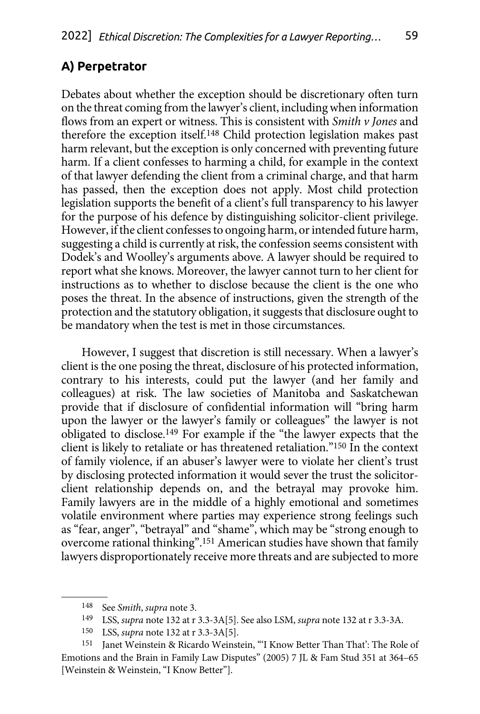### <span id="page-19-0"></span>**A) Perpetrator**

Debates about whether the exception should be discretionary often turn on the threat coming from the lawyer's client, including when information flows from an expert or witness. This is consistent with *Smith v Jones* and therefore the exception itself.148 Child protection legislation makes past harm relevant, but the exception is only concerned with preventing future harm. If a client confesses to harming a child, for example in the context of that lawyer defending the client from a criminal charge, and that harm has passed, then the exception does not apply. Most child protection legislation supports the benefit of a client's full transparency to his lawyer for the purpose of his defence by distinguishing solicitor-client privilege. However, if the client confesses to ongoing harm, or intended future harm, suggesting a child is currently at risk, the confession seems consistent with Dodek's and Woolley's arguments above. A lawyer should be required to report what she knows. Moreover, the lawyer cannot turn to her client for instructions as to whether to disclose because the client is the one who poses the threat. In the absence of instructions, given the strength of the protection and the statutory obligation, it suggests that disclosure ought to be mandatory when the test is met in those circumstances.

However, I suggest that discretion is still necessary. When a lawyer's client is the one posing the threat, disclosure of his protected information, contrary to his interests, could put the lawyer (and her family and colleagues) at risk. The law societies of Manitoba and Saskatchewan provide that if disclosure of confidential information will "bring harm upon the lawyer or the lawyer's family or colleagues" the lawyer is not obligated to disclose.149 For example if the "the lawyer expects that the client is likely to retaliate or has threatened retaliation."150 In the context of family violence, if an abuser's lawyer were to violate her client's trust by disclosing protected information it would sever the trust the solicitorclient relationship depends on, and the betrayal may provoke him. Family lawyers are in the middle of a highly emotional and sometimes volatile environment where parties may experience strong feelings such as "fear, anger", "betrayal" and "shame", which may be "strong enough to overcome rational thinking".151 American studies have shown that family lawyers disproportionately receive more threats and are subjected to more

<sup>148</sup> See *Smith*, *supra* note 3.

<sup>149</sup> LSS, *supra* note 132 at r 3.3-3A[5]. See also LSM, *supra* note 132 at r 3.3-3A.

<sup>150</sup> LSS, *supra* note 132 at r 3.3-3A[5].

<sup>151</sup> Janet Weinstein & Ricardo Weinstein, "'I Know Better Than That': The Role of Emotions and the Brain in Family Law Disputes" (2005) 7 JL & Fam Stud 351 at 364–65 [Weinstein & Weinstein, "I Know Better"].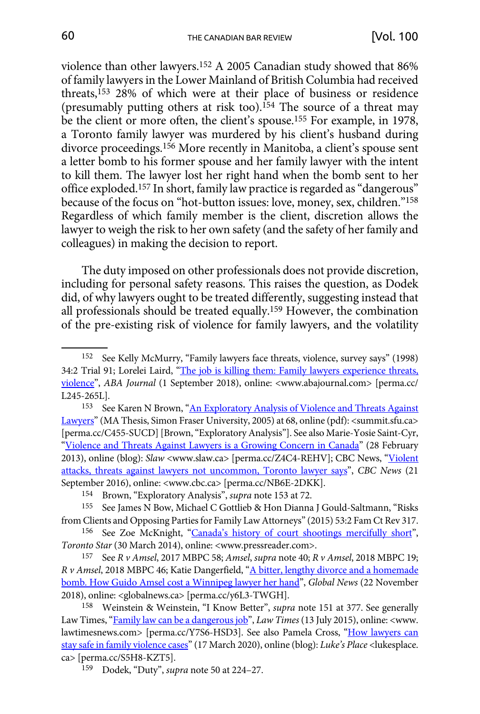violence than other lawyers.152 A 2005 Canadian study showed that 86% of family lawyers in the Lower Mainland of British Columbia had received threats,<sup>153</sup> 28% of which were at their place of business or residence (presumably putting others at risk too).154 The source of a threat may be the client or more often, the client's spouse.155 For example, in 1978, a Toronto family lawyer was murdered by his client's husband during divorce proceedings.<sup>156</sup> More recently in Manitoba, a client's spouse sent a letter bomb to his former spouse and her family lawyer with the intent to kill them. The lawyer lost her right hand when the bomb sent to her office exploded.157 In short, family law practice is regarded as "dangerous" because of the focus on "hot-button issues: love, money, sex, children."158 Regardless of which family member is the client, discretion allows the lawyer to weigh the risk to her own safety (and the safety of her family and colleagues) in making the decision to report.

The duty imposed on other professionals does not provide discretion, including for personal safety reasons. This raises the question, as Dodek did, of why lawyers ought to be treated differently, suggesting instead that all professionals should be treated equally.159 However, the combination of the pre-existing risk of violence for family lawyers, and the volatility

<sup>152</sup> See Kelly McMurry, "Family lawyers face threats, violence, survey says" (1998) 34:2 Trial 91; Lorelei Laird, "[The job is killing them: Family lawyers experience threats,](https://perma.cc/L245-265L) [violence](https://perma.cc/L245-265L)", *ABA Journal* (1 September 2018), online: <www.abajournal.com> [perma.cc/ L245-265L].<br><sup>153</sup> See Karen N Brown, "<u>[An Exploratory Analysis of Violence and Threats Against](https://perma.cc/C455-SUCD)</u>

[Lawyers"](https://perma.cc/C455-SUCD) (MA Thesis, Simon Fraser University, 2005) at 68, online (pdf): <summit.sfu.ca> [perma.cc/C455-SUCD] [Brown, "Exploratory Analysis"]. See also Marie-Yosie Saint-Cyr, ["Violence and Threats Against Lawyers is a Growing Concern in Canada"](https://perma.cc/Z4C4-REHV) (28 February 2013), online (blog): *Slaw* <www.slaw.ca> [perma.cc/Z4C4-REHV]; CBC News, ["Violent](https://perma.cc/NB6E-2DKK) [attacks, threats against lawyers not uncommon, Toronto lawyer says](https://perma.cc/NB6E-2DKK)", *CBC News* (21 September 2016), online: <www.cbc.ca> [perma.cc/NB6E-2DKK].

<sup>154</sup> Brown, "Exploratory Analysis", *supra* note 153 at 72.

<sup>155</sup> See James N Bow, Michael C Gottlieb & Hon Dianna J Gould-Saltmann, "Risks from Clients and Opposing Parties for Family Law Attorneys" (2015) 53:2 Fam Ct Rev 317.

<sup>156</sup> See Zoe McKnight, "[Canada's history of court shootings mercifully short](https://www.pressreader.com/canada/toronto-star/20140330/281672547905806)", *Toronto Star* (30 March 2014), online: <www.pressreader.com>.

<sup>157</sup> See *R v Amsel*, 2017 MBPC 58; *Amsel*, *supra* note 40; *R v Amsel*, 2018 MBPC 19; *R v Amsel*, 2018 MBPC 46; Katie Dangerfield, ["A bitter, lengthy divorce and a homemade](https://perma.cc/y6L3-TWGH) [bomb. How Guido Amsel cost a Winnipeg lawyer her hand](https://perma.cc/y6L3-TWGH)", *Global News* (22 November 2018), online: <globalnews.ca> [perma.cc/y6L3-TWGH].

<sup>158</sup> Weinstein & Weinstein, "I Know Better", *supra* note 151 at 377. See generally Law Times, "[Family law can be a dangerous job"](https://perma.cc/Y7S6-HSD3), *Law Times* (13 July 2015), online: <www. lawtimesnews.com> [perma.cc/Y7S6-HSD3]. See also Pamela Cross, "How lawyers can [stay safe in family violence cases"](https://perma.cc/S5H8-KZT5) (17 March 2020), online (blog): *Luke's Place* <lukesplace. ca> [perma.cc/S5H8-KZT5].

<sup>159</sup> Dodek, "Duty", *supra* note 50 at 224–27.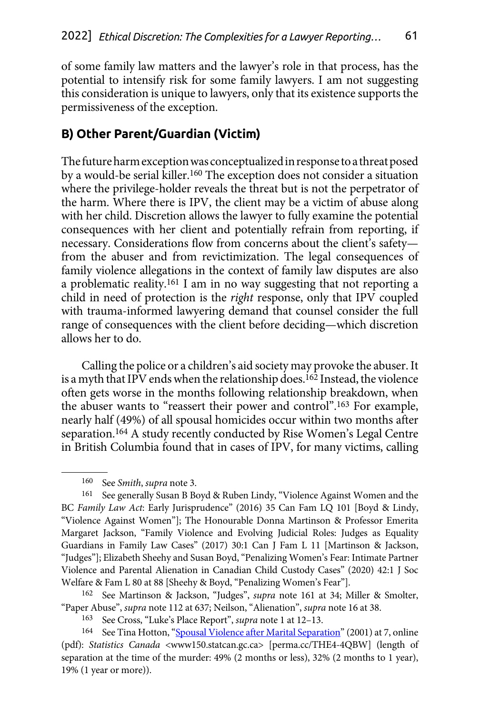<span id="page-21-0"></span>of some family law matters and the lawyer's role in that process, has the potential to intensify risk for some family lawyers. I am not suggesting this consideration is unique to lawyers, only that its existence supports the permissiveness of the exception.

### **B) Other Parent/Guardian (Victim)**

The future harm exception was conceptualized in response to a threat posed by a would-be serial killer.160 The exception does not consider a situation where the privilege-holder reveals the threat but is not the perpetrator of the harm. Where there is IPV, the client may be a victim of abuse along with her child. Discretion allows the lawyer to fully examine the potential consequences with her client and potentially refrain from reporting, if necessary. Considerations flow from concerns about the client's safety from the abuser and from revictimization. The legal consequences of family violence allegations in the context of family law disputes are also a problematic reality.161 I am in no way suggesting that not reporting a child in need of protection is the *right* response, only that IPV coupled with trauma-informed lawyering demand that counsel consider the full range of consequences with the client before deciding—which discretion allows her to do.

Calling the police or a children's aid society may provoke the abuser. It is a myth that IPV ends when the relationship does.<sup>162</sup> Instead, the violence often gets worse in the months following relationship breakdown, when the abuser wants to "reassert their power and control".163 For example, nearly half (49%) of all spousal homicides occur within two months after separation.164 A study recently conducted by Rise Women's Legal Centre in British Columbia found that in cases of IPV, for many victims, calling

<sup>160</sup> See *Smith*, *supra* note 3.

<sup>161</sup> See generally Susan B Boyd & Ruben Lindy, "Violence Against Women and the BC *Family Law Act*: Early Jurisprudence" (2016) 35 Can Fam LQ 101 [Boyd & Lindy, "Violence Against Women"]; The Honourable Donna Martinson & Professor Emerita Margaret Jackson, "Family Violence and Evolving Judicial Roles: Judges as Equality Guardians in Family Law Cases" (2017) 30:1 Can J Fam L 11 [Martinson & Jackson, "Judges"]; Elizabeth Sheehy and Susan Boyd, "Penalizing Women's Fear: Intimate Partner Violence and Parental Alienation in Canadian Child Custody Cases" (2020) 42:1 J Soc Welfare & Fam L 80 at 88 [Sheehy & Boyd, "Penalizing Women's Fear"].

<sup>162</sup> See Martinson & Jackson, "Judges", *supra* note 161 at 34; Miller & Smolter, "Paper Abuse", *supra* note 112 at 637; Neilson, "Alienation", *supra* note 16 at 38.

<sup>163</sup> See Cross, "Luke's Place Report", *supra* note 1 at 12–13.

<sup>&</sup>lt;sup>164</sup> See Tina Hotton, "[Spousal Violence after Marital Separation](https://perma.cc/THE4-4QBW)" (2001) at 7, online (pdf): *Statistics Canada* <www150.statcan.gc.ca> [perma.cc/THE4-4QBW] (length of separation at the time of the murder: 49% (2 months or less), 32% (2 months to 1 year), 19% (1 year or more)).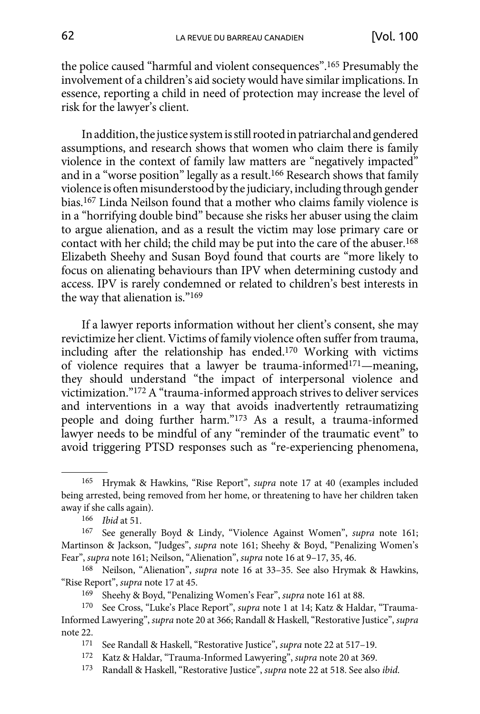the police caused "harmful and violent consequences".165 Presumably the involvement of a children's aid society would have similar implications. In essence, reporting a child in need of protection may increase the level of risk for the lawyer's client.

In addition, the justice system is still rooted in patriarchal and gendered assumptions, and research shows that women who claim there is family violence in the context of family law matters are "negatively impacted" and in a "worse position" legally as a result.<sup>166</sup> Research shows that family violence is often misunderstood by the judiciary, including through gender bias.167 Linda Neilson found that a mother who claims family violence is in a "horrifying double bind" because she risks her abuser using the claim to argue alienation, and as a result the victim may lose primary care or contact with her child; the child may be put into the care of the abuser.168 Elizabeth Sheehy and Susan Boyd found that courts are "more likely to focus on alienating behaviours than IPV when determining custody and access. IPV is rarely condemned or related to children's best interests in the way that alienation is."169

If a lawyer reports information without her client's consent, she may revictimize her client. Victims of family violence often suffer from trauma, including after the relationship has ended.170 Working with victims of violence requires that a lawyer be trauma-informed171—meaning, they should understand "the impact of interpersonal violence and victimization."172 A "trauma-informed approach strives to deliver services and interventions in a way that avoids inadvertently retraumatizing people and doing further harm."173 As a result, a trauma-informed lawyer needs to be mindful of any "reminder of the traumatic event" to avoid triggering PTSD responses such as "re-experiencing phenomena,

<sup>165</sup> Hrymak & Hawkins, "Rise Report", *supra* note 17 at 40 (examples included being arrested, being removed from her home, or threatening to have her children taken away if she calls again).

<sup>166</sup> *Ibid* at 51.

<sup>167</sup> See generally Boyd & Lindy, "Violence Against Women", *supra* note 161; Martinson & Jackson, "Judges", *supra* note 161; Sheehy & Boyd, "Penalizing Women's Fear", *supra* note 161; Neilson, "Alienation", *supra* note 16 at 9–17, 35, 46.

<sup>168</sup> Neilson, "Alienation", *supra* note 16 at 33–35. See also Hrymak & Hawkins, "Rise Report", *supra* note 17 at 45.

<sup>169</sup> Sheehy & Boyd, "Penalizing Women's Fear", *supra* note 161 at 88.

<sup>170</sup> See Cross, "Luke's Place Report", *supra* note 1 at 14; Katz & Haldar, "Trauma-Informed Lawyering", *supra* note 20 at 366; Randall & Haskell, "Restorative Justice", *supra*  note 22.<br>171

<sup>171</sup> See Randall & Haskell, "Restorative Justice", *supra* note 22 at 517–19.

<sup>172</sup> Katz & Haldar, "Trauma-Informed Lawyering", *supra* note 20 at 369.

<sup>173</sup> Randall & Haskell, "Restorative Justice", *supra* note 22 at 518. See also *ibid*.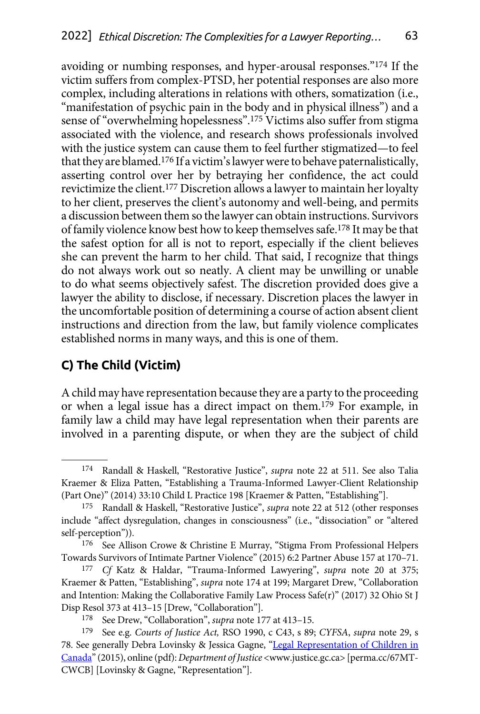<span id="page-23-0"></span>avoiding or numbing responses, and hyper-arousal responses."174 If the victim suffers from complex-PTSD, her potential responses are also more complex, including alterations in relations with others, somatization (i.e., "manifestation of psychic pain in the body and in physical illness") and a sense of "overwhelming hopelessness".175 Victims also suffer from stigma associated with the violence, and research shows professionals involved with the justice system can cause them to feel further stigmatized—to feel that they are blamed.176 If a victim's lawyer were to behave paternalistically, asserting control over her by betraying her confidence, the act could revictimize the client.177 Discretion allows a lawyer to maintain her loyalty to her client, preserves the client's autonomy and well-being, and permits a discussion between them so the lawyer can obtain instructions. Survivors of family violence know best how to keep themselves safe.178 It may be that the safest option for all is not to report, especially if the client believes she can prevent the harm to her child. That said, I recognize that things do not always work out so neatly. A client may be unwilling or unable to do what seems objectively safest. The discretion provided does give a lawyer the ability to disclose, if necessary. Discretion places the lawyer in the uncomfortable position of determining a course of action absent client instructions and direction from the law, but family violence complicates established norms in many ways, and this is one of them.

## **C) The Child (Victim)**

A child may have representation because they are a party to the proceeding or when a legal issue has a direct impact on them.179 For example, in family law a child may have legal representation when their parents are involved in a parenting dispute, or when they are the subject of child

<sup>174</sup> Randall & Haskell, "Restorative Justice", *supra* note 22 at 511. See also Talia Kraemer & Eliza Patten, "Establishing a Trauma-Informed Lawyer-Client Relationship (Part One)" (2014) 33:10 Child L Practice 198 [Kraemer & Patten, "Establishing"].

<sup>175</sup> Randall & Haskell, "Restorative Justice", *supra* note 22 at 512 (other responses include "affect dysregulation, changes in consciousness" (i.e., "dissociation" or "altered self-perception")).

<sup>176</sup> See Allison Crowe & Christine E Murray, "Stigma From Professional Helpers Towards Survivors of Intimate Partner Violence" (2015) 6:2 Partner Abuse 157 at 170–71.

<sup>177</sup> *Cf* Katz & Haldar, "Trauma-Informed Lawyering", *supra* note 20 at 375; Kraemer & Patten, "Establishing", *supra* note 174 at 199; Margaret Drew, "Collaboration and Intention: Making the Collaborative Family Law Process Safe(r)" (2017) 32 Ohio St J Disp Resol 373 at 413–15 [Drew, "Collaboration"].

<sup>178</sup> See Drew, "Collaboration", *supra* note 177 at 413–15.

<sup>179</sup> See e.g. *Courts of Justice Act,* RSO 1990, c C43, s 89; *CYFSA*, *supra* note 29, s 78. See generally Debra Lovinsky & Jessica Gagne, "[Legal Representation of Children in](https://perma.cc/67MT-CWCB) [Canada"](https://perma.cc/67MT-CWCB) (2015), online (pdf): *Department of Justice* <www.justice.gc.ca> [perma.cc/67MT-CWCB] [Lovinsky & Gagne, "Representation"].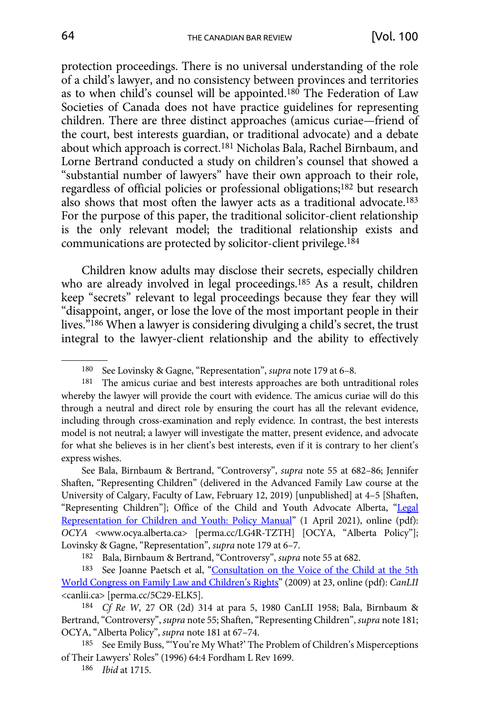protection proceedings. There is no universal understanding of the role of a child's lawyer, and no consistency between provinces and territories as to when child's counsel will be appointed.180 The Federation of Law Societies of Canada does not have practice guidelines for representing children. There are three distinct approaches (amicus curiae—friend of the court, best interests guardian, or traditional advocate) and a debate about which approach is correct.181 Nicholas Bala, Rachel Birnbaum, and Lorne Bertrand conducted a study on children's counsel that showed a "substantial number of lawyers" have their own approach to their role, regardless of official policies or professional obligations;182 but research also shows that most often the lawyer acts as a traditional advocate.183 For the purpose of this paper, the traditional solicitor-client relationship is the only relevant model; the traditional relationship exists and communications are protected by solicitor-client privilege.184

Children know adults may disclose their secrets, especially children who are already involved in legal proceedings.185 As a result, children keep "secrets" relevant to legal proceedings because they fear they will "disappoint, anger, or lose the love of the most important people in their lives."186 When a lawyer is considering divulging a child's secret, the trust integral to the lawyer-client relationship and the ability to effectively

See Bala, Birnbaum & Bertrand, "Controversy", *supra* note 55 at 682–86; Jennifer Shaften, "Representing Children" (delivered in the Advanced Family Law course at the University of Calgary, Faculty of Law, February 12, 2019) [unpublished] at 4–5 [Shaften, "Representing Children"]; Office of the Child and Youth Advocate Alberta, "Legal [Representation for Children and Youth: Policy Manual](https://perma.cc/LG4R-TZTH)" (1 April 2021), online (pdf): *OCYA* <www.ocya.alberta.ca> [perma.cc/LG4R-TZTH] [OCYA, "Alberta Policy"]; Lovinsky & Gagne, "Representation", *supra* note 179 at 6–7.

<sup>180</sup> See Lovinsky & Gagne, "Representation", *supra* note 179 at 6–8.

<sup>181</sup> The amicus curiae and best interests approaches are both untraditional roles whereby the lawyer will provide the court with evidence. The amicus curiae will do this through a neutral and direct role by ensuring the court has all the relevant evidence, including through cross-examination and reply evidence. In contrast, the best interests model is not neutral; a lawyer will investigate the matter, present evidence, and advocate for what she believes is in her client's best interests, even if it is contrary to her client's express wishes.

<sup>182</sup> Bala, Birnbaum & Bertrand, "Controversy", *supra* note 55 at 682.

<sup>183</sup> See Joanne Paetsch et al, "[Consultation on the Voice of the Child at the 5th](https://perma.cc/5C29-ELK5) [World Congress on Family Law and Children's Rights"](https://perma.cc/5C29-ELK5) (2009) at 23, online (pdf): *CanLII*  <canlii.ca> [perma.cc/5C29-ELK5]. 184 *Cf Re W,* 27 OR (2d) 314 at para 5, 1980 CanLII 1958; Bala, Birnbaum &

Bertrand, "Controversy", *supra* note 55; Shaften, "Representing Children", *supra* note 181; OCYA, "Alberta Policy", *supra* note 181 at 67–74.

<sup>185</sup> See Emily Buss, "'You're My What?' The Problem of Children's Misperceptions of Their Lawyers' Roles" (1996) 64:4 Fordham L Rev 1699.

<sup>186</sup> *Ibid* at 1715.